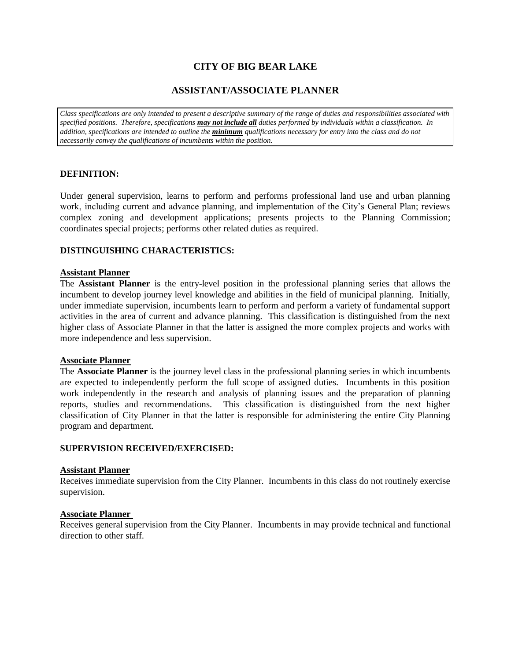# **CITY OF BIG BEAR LAKE**

# **ASSISTANT/ASSOCIATE PLANNER**

*Class specifications are only intended to present a descriptive summary of the range of duties and responsibilities associated with specified positions. Therefore, specifications may not include all duties performed by individuals within a classification. In addition, specifications are intended to outline the minimum qualifications necessary for entry into the class and do not necessarily convey the qualifications of incumbents within the position.*

## **DEFINITION:**

Under general supervision, learns to perform and performs professional land use and urban planning work, including current and advance planning, and implementation of the City's General Plan; reviews complex zoning and development applications; presents projects to the Planning Commission; coordinates special projects; performs other related duties as required.

## **DISTINGUISHING CHARACTERISTICS:**

### **Assistant Planner**

The **Assistant Planner** is the entry-level position in the professional planning series that allows the incumbent to develop journey level knowledge and abilities in the field of municipal planning. Initially, under immediate supervision, incumbents learn to perform and perform a variety of fundamental support activities in the area of current and advance planning. This classification is distinguished from the next higher class of Associate Planner in that the latter is assigned the more complex projects and works with more independence and less supervision.

#### **Associate Planner**

The **Associate Planner** is the journey level class in the professional planning series in which incumbents are expected to independently perform the full scope of assigned duties. Incumbents in this position work independently in the research and analysis of planning issues and the preparation of planning reports, studies and recommendations. This classification is distinguished from the next higher classification of City Planner in that the latter is responsible for administering the entire City Planning program and department.

## **SUPERVISION RECEIVED/EXERCISED:**

### **Assistant Planner**

Receives immediate supervision from the City Planner. Incumbents in this class do not routinely exercise supervision.

#### **Associate Planner**

Receives general supervision from the City Planner. Incumbents in may provide technical and functional direction to other staff.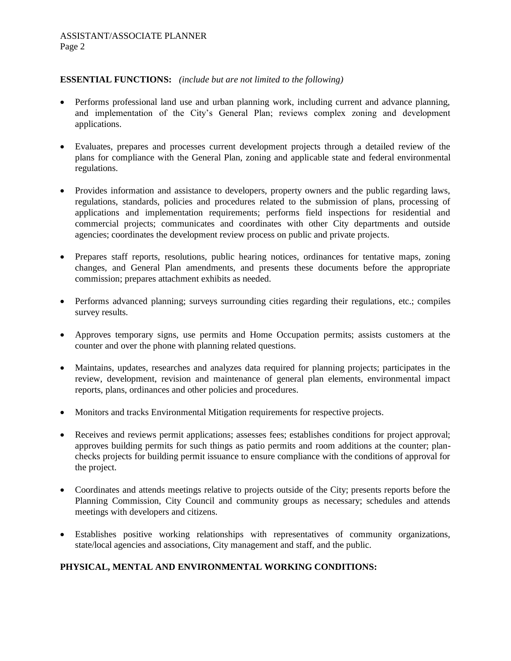## **ESSENTIAL FUNCTIONS:** *(include but are not limited to the following)*

- Performs professional land use and urban planning work, including current and advance planning, and implementation of the City's General Plan; reviews complex zoning and development applications.
- Evaluates, prepares and processes current development projects through a detailed review of the plans for compliance with the General Plan, zoning and applicable state and federal environmental regulations.
- Provides information and assistance to developers, property owners and the public regarding laws, regulations, standards, policies and procedures related to the submission of plans, processing of applications and implementation requirements; performs field inspections for residential and commercial projects; communicates and coordinates with other City departments and outside agencies; coordinates the development review process on public and private projects.
- Prepares staff reports, resolutions, public hearing notices, ordinances for tentative maps, zoning changes, and General Plan amendments, and presents these documents before the appropriate commission; prepares attachment exhibits as needed.
- Performs advanced planning; surveys surrounding cities regarding their regulations, etc.; compiles survey results.
- Approves temporary signs, use permits and Home Occupation permits; assists customers at the counter and over the phone with planning related questions.
- Maintains, updates, researches and analyzes data required for planning projects; participates in the review, development, revision and maintenance of general plan elements, environmental impact reports, plans, ordinances and other policies and procedures.
- Monitors and tracks Environmental Mitigation requirements for respective projects.
- Receives and reviews permit applications; assesses fees; establishes conditions for project approval; approves building permits for such things as patio permits and room additions at the counter; planchecks projects for building permit issuance to ensure compliance with the conditions of approval for the project.
- Coordinates and attends meetings relative to projects outside of the City; presents reports before the Planning Commission, City Council and community groups as necessary; schedules and attends meetings with developers and citizens.
- Establishes positive working relationships with representatives of community organizations, state/local agencies and associations, City management and staff, and the public.

# **PHYSICAL, MENTAL AND ENVIRONMENTAL WORKING CONDITIONS:**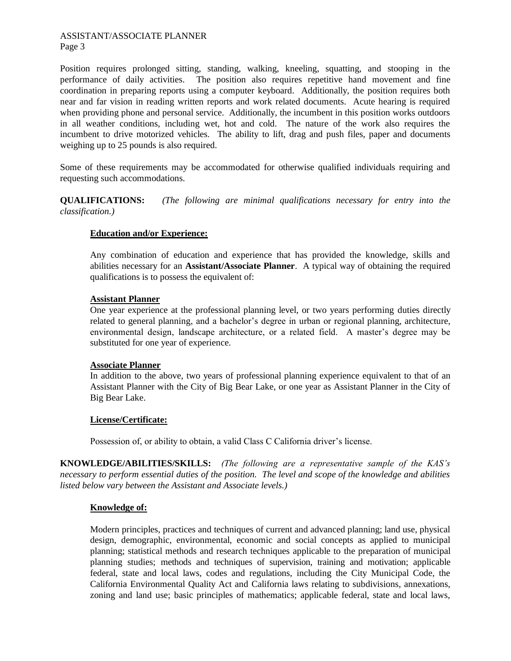#### ASSISTANT/ASSOCIATE PLANNER Page 3

Position requires prolonged sitting, standing, walking, kneeling, squatting, and stooping in the performance of daily activities. The position also requires repetitive hand movement and fine coordination in preparing reports using a computer keyboard. Additionally, the position requires both near and far vision in reading written reports and work related documents. Acute hearing is required when providing phone and personal service. Additionally, the incumbent in this position works outdoors in all weather conditions, including wet, hot and cold. The nature of the work also requires the incumbent to drive motorized vehicles. The ability to lift, drag and push files, paper and documents weighing up to 25 pounds is also required.

Some of these requirements may be accommodated for otherwise qualified individuals requiring and requesting such accommodations.

**QUALIFICATIONS:** *(The following are minimal qualifications necessary for entry into the classification.)*

## **Education and/or Experience:**

Any combination of education and experience that has provided the knowledge, skills and abilities necessary for an **Assistant/Associate Planner**. A typical way of obtaining the required qualifications is to possess the equivalent of:

### **Assistant Planner**

One year experience at the professional planning level, or two years performing duties directly related to general planning, and a bachelor's degree in urban or regional planning, architecture, environmental design, landscape architecture, or a related field. A master's degree may be substituted for one year of experience.

#### **Associate Planner**

In addition to the above, two years of professional planning experience equivalent to that of an Assistant Planner with the City of Big Bear Lake, or one year as Assistant Planner in the City of Big Bear Lake.

## **License/Certificate:**

Possession of, or ability to obtain, a valid Class C California driver's license.

**KNOWLEDGE/ABILITIES/SKILLS:** *(The following are a representative sample of the KAS's necessary to perform essential duties of the position. The level and scope of the knowledge and abilities listed below vary between the Assistant and Associate levels.)* 

## **Knowledge of:**

Modern principles, practices and techniques of current and advanced planning; land use, physical design, demographic, environmental, economic and social concepts as applied to municipal planning; statistical methods and research techniques applicable to the preparation of municipal planning studies; methods and techniques of supervision, training and motivation; applicable federal, state and local laws, codes and regulations, including the City Municipal Code, the California Environmental Quality Act and California laws relating to subdivisions, annexations, zoning and land use; basic principles of mathematics; applicable federal, state and local laws,